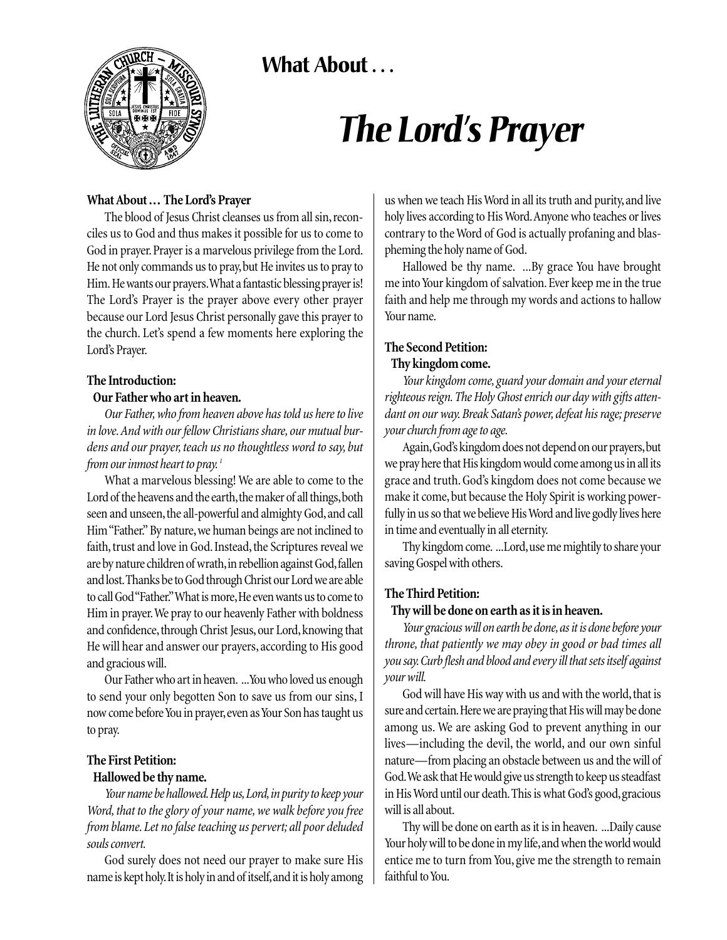**What About . . .** 



# *The Lord's Prayer*

#### **What About ... The Lord's Prayer**

The blood of Jesus Christ cleanses us from all sin, reconciles us to God and thus makes it possible for us to come to God in prayer. Prayer is a marvelous privilege from the Lord. He not only commands us to pray,but He invites us to pray to Him. He wants our prayers.What a fantastic blessing prayer is! The Lord's Prayer is the prayer above every other prayer because our Lord Jesus Christ personally gave this prayer to the church. Let's spend a few moments here exploring the Lord's Prayer.

#### **The Introduction:**

#### **Our Father who art in heaven.**

*Our Father, who from heaven above has told us here to live in love. And with our fellow Christians share, our mutual burdens and our prayer, teach us no thoughtless word to say, but from our inmost heart to pray. <sup>1</sup>*

What a marvelous blessing! We are able to come to the Lord of the heavens and the earth, the maker of all things, both seen and unseen, the all-powerful and almighty God, and call Him "Father." By nature, we human beings are not inclined to faith, trust and love in God. Instead, the Scriptures reveal we are by nature children of wrath, in rebellion against God, fallen and lost.Thanks be to God through Christ our Lord we are able to call God "Father." What is more, He even wants us to come to Him in prayer.We pray to our heavenly Father with boldness and confidence, through Christ Jesus, our Lord, knowing that He will hear and answer our prayers, according to His good and gracious will.

Our Father who art in heaven. ...You who loved us enough to send your only begotten Son to save us from our sins, I now come before You in prayer,even as Your Son has taught us to pray.

### **The First Petition:**

#### **Hallowed be thy name.**

*Your name be hallowed.Help us,Lord,in purity to keep your Word, that to the glory of your name, we walk before you free from blame. Let no false teaching us pervert; all poor deluded souls convert.*

God surely does not need our prayer to make sure His name is kept holy. It is holy in and of itself, and it is holy among us when we teach His Word in all its truth and purity, and live holy lives according to His Word.Anyone who teaches or lives contrary to the Word of God is actually profaning and blaspheming the holy name of God.

Hallowed be thy name. ...By grace You have brought me into Your kingdom of salvation. Ever keep me in the true faith and help me through my words and actions to hallow Your name.

## **The Second Petition:**

#### **Thy kingdom come.**

*Your kingdom come, guard your domain and your eternal righteous reign. The Holy Ghost enrich our day with gifts attendant on our way. Break Satan's power, defeat his rage; preserve your church from age to age.*

Again, God's kingdom does not depend on our prayers, but we pray here that His kingdom would come among us in all its grace and truth. God's kingdom does not come because we make it come, but because the Holy Spirit is working powerfully in us so that we believe His Word and live godly lives here in time and eventually in all eternity.

Thy kingdom come. ...Lord,use me mightily to share your saving Gospel with others.

#### **The Third Petition:**

#### **Thy will be done on earth as it is in heaven.**

*Your gracious will on earth be done,as it is done before your throne, that patiently we may obey in good or bad times all you say.Curb flesh and blood and every ill that sets itself against your will.*

God will have His way with us and with the world, that is sure and certain.Here we are praying that His will may be done among us. We are asking God to prevent anything in our lives—including the devil, the world, and our own sinful nature—from placing an obstacle between us and the will of God.We ask that He would give us strength to keep us steadfast in His Word until our death. This is what God's good, gracious will is all about.

Thy will be done on earth as it is in heaven. ...Daily cause Your holy will to be done in my life, and when the world would entice me to turn from You, give me the strength to remain faithful to You.